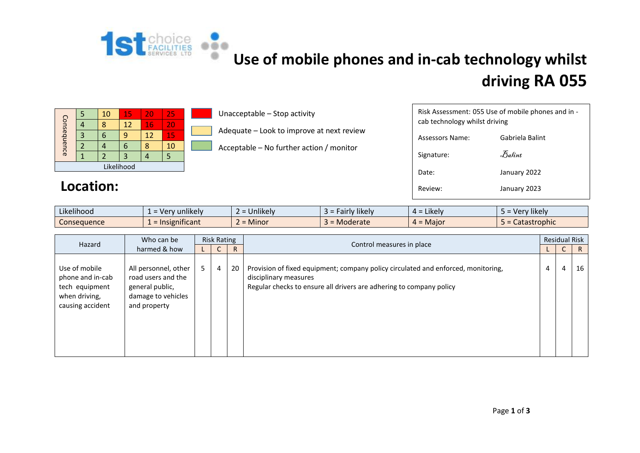

## **Use of mobile phones and in-cab technology whilst driving RA 055**

| Consequence |  | 10 | 15 | 20 | 25 |  |  |  |
|-------------|--|----|----|----|----|--|--|--|
|             |  |    | 12 | 16 | 20 |  |  |  |
|             |  |    | g  | 12 | 15 |  |  |  |
|             |  |    | 6  |    | 10 |  |  |  |
|             |  |    | 3  |    |    |  |  |  |
| Likelihood  |  |    |    |    |    |  |  |  |

Location:

## Unacceptable – Stop activity

Adequate – Look to improve at next review

Acceptable – No further action / monitor

| Risk Assessment: 055 Use of mobile phones and in -<br>cab technology whilst driving |                 |  |  |  |  |  |  |  |  |
|-------------------------------------------------------------------------------------|-----------------|--|--|--|--|--|--|--|--|
| Assessors Name:                                                                     | Gabriela Balint |  |  |  |  |  |  |  |  |
| Signature:                                                                          | Balint          |  |  |  |  |  |  |  |  |
| Date:                                                                               | January 2022    |  |  |  |  |  |  |  |  |
| Review:                                                                             | January 2023    |  |  |  |  |  |  |  |  |

| $\cdots$<br>Likelihood | unlikely<br>ver                       | $\cdots$<br><b>Jnlikely</b><br>$\overline{\phantom{0}}$ | .<br>likely<br>airly. | .<br>Likely<br>$4 =$ | .<br>Very likely |
|------------------------|---------------------------------------|---------------------------------------------------------|-----------------------|----------------------|------------------|
| Consequence            | $\sim$ $\sim$ $\sim$<br>Insignificant | = Minor                                                 | Moderate              | $4 =$ Major          | Catastrophic     |

| Hazard                                                                                   | Who can be                                                                                          | <b>Risk Rating</b> |              |              |                                                                                                                                                                                   | <b>Residual Risk</b> |   |              |
|------------------------------------------------------------------------------------------|-----------------------------------------------------------------------------------------------------|--------------------|--------------|--------------|-----------------------------------------------------------------------------------------------------------------------------------------------------------------------------------|----------------------|---|--------------|
| harmed & how                                                                             |                                                                                                     |                    | $\mathsf{C}$ | $\mathsf{R}$ | Control measures in place                                                                                                                                                         |                      | U | $\mathsf{R}$ |
| Use of mobile<br>phone and in-cab<br>tech equipment<br>when driving,<br>causing accident | All personnel, other<br>road users and the<br>general public,<br>damage to vehicles<br>and property | 5                  | 4            | 20           | Provision of fixed equipment; company policy circulated and enforced, monitoring,<br>disciplinary measures<br>Regular checks to ensure all drivers are adhering to company policy | 4                    | 4 | 16           |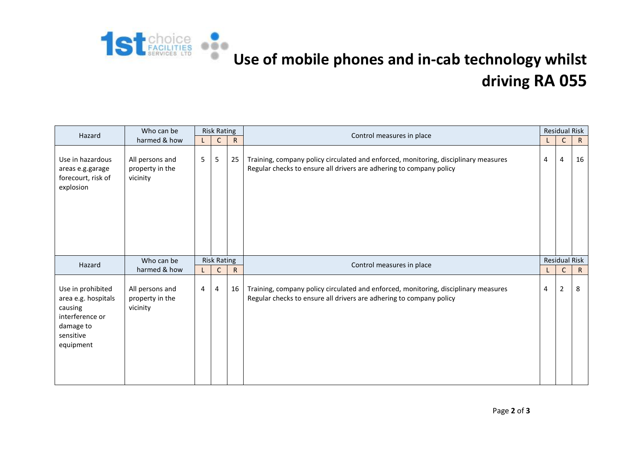

## **Use of mobile phones and in-cab technology whilst driving RA 055**

| Hazard                                                                                                        | Who can be                                     | <b>Risk Rating</b> |                                    |                                           | Control measures in place                                                                                                                                  | <b>Residual Risk</b> |                                     |                   |
|---------------------------------------------------------------------------------------------------------------|------------------------------------------------|--------------------|------------------------------------|-------------------------------------------|------------------------------------------------------------------------------------------------------------------------------------------------------------|----------------------|-------------------------------------|-------------------|
| harmed & how                                                                                                  |                                                | $\mathsf{L}$       | C                                  | $\mathsf{R}$                              |                                                                                                                                                            | L.                   | C                                   | $\mathsf{R}$      |
| Use in hazardous<br>areas e.g.garage<br>forecourt, risk of<br>explosion                                       | All persons and<br>property in the<br>vicinity | 5                  | 5                                  | 25                                        | Training, company policy circulated and enforced, monitoring, disciplinary measures<br>Regular checks to ensure all drivers are adhering to company policy |                      | 4                                   | 16                |
| Hazard                                                                                                        | Who can be<br>harmed & how                     |                    | <b>Risk Rating</b><br>$\mathsf{C}$ | Control measures in place<br>$\mathsf{R}$ |                                                                                                                                                            |                      | <b>Residual Risk</b><br>$\mathsf C$ |                   |
| Use in prohibited<br>area e.g. hospitals<br>causing<br>interference or<br>damage to<br>sensitive<br>equipment | All persons and<br>property in the<br>vicinity | 4                  | 4                                  | 16                                        | Training, company policy circulated and enforced, monitoring, disciplinary measures<br>Regular checks to ensure all drivers are adhering to company policy |                      | 2                                   | $\mathsf{R}$<br>8 |